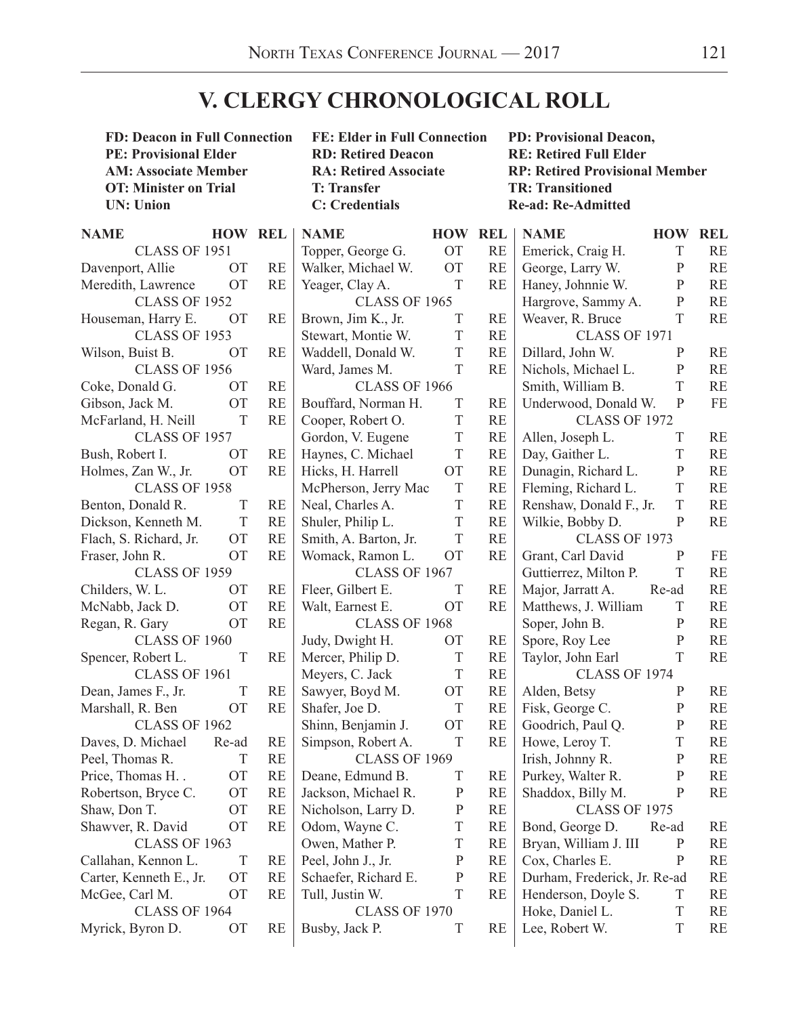## **V. CLERGY CHRONOLOGICAL ROLL**

**FD: Deacon in Full Connection FE: Elder in Full Connection PD: Provisional Deacon, PE: Provisional Elder RD: Retired Deacon RE: Retired Full Elder OT: Minister on Trial T: Transfer TR: Transitioned UN: Union C: Credentials Re-ad: Re-Admitted**

**NAME HOW REL** CLASS OF 1951 Davenport, Allie OT RE Meredith, Lawrence OT RE CLASS OF 1952 Houseman, Harry E. OT RE CLASS OF 1953 Wilson, Buist B. OT RE CLASS OF 1956 Coke, Donald G. OT RE Gibson, Jack M. OT RE McFarland, H. Neill T RE CLASS OF 1957 Bush, Robert I. OT RE Holmes, Zan W., Jr. OT RE CLASS OF 1958 Benton, Donald R. T RE Dickson, Kenneth M. T RE Flach, S. Richard, Jr. OT RE Fraser, John R. OT RE CLASS OF 1959 Childers, W. L. OT RE McNabb, Jack D. OT RE Regan, R. Gary OT RE CLASS OF 1960 Spencer, Robert L. T RE CLASS OF 1961 Dean, James F., Jr. T RE Marshall, R. Ben OT RE CLASS OF 1962 Daves, D. Michael Re-ad RE Peel, Thomas R. T RE Price, Thomas H. . OT RE Robertson, Bryce C. OT RE Shaw, Don T. OT RE Shawver, R. David OT RE CLASS OF 1963 Callahan, Kennon L. T RE Carter, Kenneth E., Jr. OT RE McGee, Carl M. OT RE CLASS OF 1964 Myrick, Byron D. OT RE

**NAME HOW REL** Topper, George G. OT RE Walker, Michael W. OT RE Yeager, Clay A. T RE CLASS OF 1965 Brown, Jim K., Jr. T RE Stewart, Montie W. T RE Waddell, Donald W. T RE Ward, James M. T RE CLASS OF 1966 Bouffard, Norman H. T RE Cooper, Robert O. T RE Gordon, V. Eugene T RI Haynes, C. Michael T RI Hicks, H. Harrell OT RE McPherson, Jerry Mac T RI Neal, Charles A. T RE Shuler, Philip L. T RI Smith, A. Barton, Jr. T RE Womack, Ramon L. OT RE CLASS OF 1967 Fleer, Gilbert E. T RE Walt, Earnest E. OT RE CLASS OF 1968 Judy, Dwight H. OT RE Mercer, Philip D. T RE Meyers, C. Jack T RE Sawyer, Boyd M. OT RI Shafer, Joe D. T RE Shinn, Benjamin J. OT RI Simpson, Robert A. T RE CLASS OF 1969 Deane, Edmund B. T RI Jackson, Michael R. P RE Nicholson, Larry D. P RI Odom, Wayne C. T RI Owen, Mather P. T RE Peel, John J., Jr. P RE Schaefer, Richard E. P RE Tull, Justin W. T RE CLASS OF 1970 Busby, Jack P. T RE

**AM: Associate Member RA: Retired Associate RP: Retired Provisional Member**

| L      | <b>NAME</b>                  | <b>HOW</b>   | <b>REL</b> |
|--------|------------------------------|--------------|------------|
| E      | Emerick, Craig H.            | T            | RE         |
| E      | George, Larry W.             | P            | <b>RE</b>  |
| E      | Haney, Johnnie W.            | P            | <b>RE</b>  |
|        | Hargrove, Sammy A.           | $\mathbf{P}$ | <b>RE</b>  |
| E      | Weaver, R. Bruce             | Т            | RE         |
| E      | CLASS OF 1971                |              |            |
| E      | Dillard, John W.             | $\mathbf P$  | RE         |
| E      | Nichols, Michael L.          | $\mathbf{P}$ | RE         |
|        | Smith, William B.            | T            | <b>RE</b>  |
| E      | Underwood, Donald W.         | P            | FE         |
| E      | <b>CLASS OF 1972</b>         |              |            |
| E      | Allen, Joseph L.             | Т            | RE         |
| E      | Day, Gaither L.              | T            | RE         |
| E      | Dunagin, Richard L.          | P            | <b>RE</b>  |
| E      | Fleming, Richard L.          | T            | <b>RE</b>  |
| E      | Renshaw, Donald F., Jr.      | T            | RE         |
| E      | Wilkie, Bobby D.             | $\mathbf{P}$ | <b>RE</b>  |
| E<br>E | <b>CLASS OF 1973</b>         |              |            |
|        | Grant, Carl David            | $\mathbf{P}$ | FE         |
|        | Guttierrez, Milton P.        | T            | <b>RE</b>  |
| E      | Major, Jarratt A.            | Re-ad        | RE         |
| E      | Matthews, J. William         | Т            | <b>RE</b>  |
|        | Soper, John B.               | $\mathbf{P}$ | <b>RE</b>  |
| E      | Spore, Roy Lee               | $\mathbf P$  | RE         |
| E      | Taylor, John Earl            | T            | <b>RE</b>  |
| E      | <b>CLASS OF 1974</b>         |              |            |
| E      | Alden, Betsy                 | $\mathbf P$  | <b>RE</b>  |
| E      | Fisk, George C.              | $\mathbf P$  | RE         |
| E      | Goodrich, Paul Q.            | $\mathbf{P}$ | <b>RE</b>  |
| E      | Howe, Leroy T.               | T            | RE         |
|        | Irish, Johnny R.             | P            | RE         |
| E      | Purkey, Walter R.            | P            | <b>RE</b>  |
| Ē      | Shaddox, Billy M.            | $\mathbf{P}$ | <b>RE</b>  |
| E      | <b>CLASS OF 1975</b>         |              |            |
|        | Bond, George D.              | Re-ad        | RE         |
|        | Bryan, William J. III        | P            | RE         |
| 巴巴巴巴巴  | Cox, Charles E.              | P            | RE         |
|        | Durham, Frederick, Jr. Re-ad |              | RE         |
|        | Henderson, Doyle S.          | T            | RE         |
|        | Hoke, Daniel L.              | Т            | RE         |
| Ē      | Lee, Robert W.               | Т            | RE         |
|        |                              |              |            |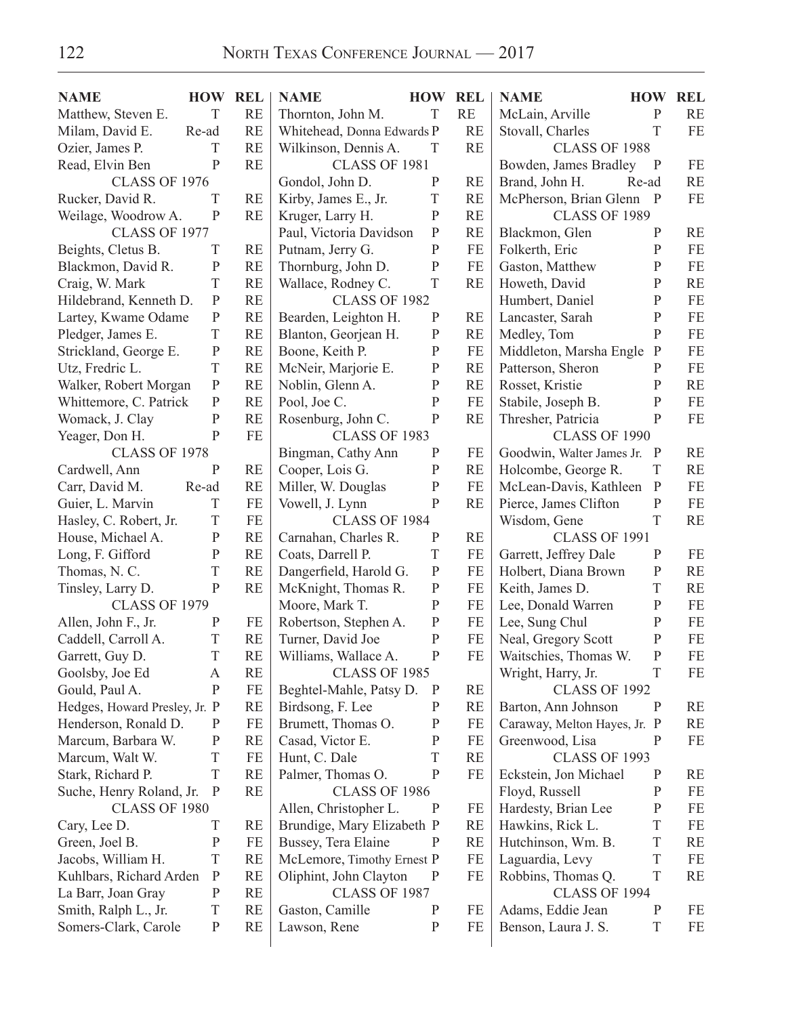| <b>NAME</b>                                          | <b>HOW REL</b>    |           | <b>NAME</b>                                                     | <b>HOW</b>   | <b>REL</b> | <b>NAME</b>                  | <b>HOW</b>   | <b>REL</b> |
|------------------------------------------------------|-------------------|-----------|-----------------------------------------------------------------|--------------|------------|------------------------------|--------------|------------|
| Matthew, Steven E.                                   | T                 | <b>RE</b> | Thornton, John M.                                               | T            | <b>RE</b>  | McLain, Arville              | $\mathbf{P}$ | RE         |
| Milam, David E.                                      | Re-ad             | <b>RE</b> | Whitehead, Donna Edwards P                                      | <b>RE</b>    |            | Stovall, Charles             | T            | <b>FE</b>  |
| Ozier, James P.                                      | T                 | <b>RE</b> | Wilkinson, Dennis A.                                            | T            | RE         | CLASS OF 1988                |              |            |
| Read, Elvin Ben                                      | ${\bf P}$         | <b>RE</b> | <b>CLASS OF 1981</b>                                            |              |            | Bowden, James Bradley        | $\mathbf{P}$ | FE         |
| <b>CLASS OF 1976</b>                                 |                   |           | Gondol, John D.                                                 | $\, {\bf P}$ | <b>RE</b>  | Brand, John H.               | Re-ad        | RE         |
| Rucker, David R.                                     | T                 | <b>RE</b> | Kirby, James E., Jr.                                            | $\mathbf T$  | <b>RE</b>  | McPherson, Brian Glenn       | $\mathbf{P}$ | <b>FE</b>  |
| Weilage, Woodrow A.                                  | ${\bf P}$         | <b>RE</b> | Kruger, Larry H.                                                | $\, {\bf P}$ | <b>RE</b>  | <b>CLASS OF 1989</b>         |              |            |
| CLASS OF 1977                                        |                   |           | Paul, Victoria Davidson                                         | $\mathbf{P}$ | RE         | Blackmon, Glen               | P            | <b>RE</b>  |
| Beights, Cletus B.                                   | T                 | <b>RE</b> | Putnam, Jerry G.                                                | $\mathbf{P}$ | FE         | Folkerth, Eric               | $\mathbf{P}$ | FE         |
| Blackmon, David R.                                   | $\mathbf{P}$      | <b>RE</b> | Thornburg, John D.                                              | $\mathbf{P}$ | FE         | Gaston, Matthew              | $\mathbf{P}$ | FE         |
| Craig, W. Mark                                       | T                 | <b>RE</b> | Wallace, Rodney C.                                              | $\mathbf T$  | <b>RE</b>  | Howeth, David                | $\mathbf{P}$ | <b>RE</b>  |
| Hildebrand, Kenneth D.                               | $\mathbf{P}$      | <b>RE</b> | <b>CLASS OF 1982</b>                                            |              |            | Humbert, Daniel              | $\mathbf{P}$ | FE         |
| Lartey, Kwame Odame                                  | $\mathbf P$       | <b>RE</b> | Bearden, Leighton H.                                            | $\mathbf{P}$ | <b>RE</b>  | Lancaster, Sarah             | $\mathbf{P}$ | FE         |
| Pledger, James E.                                    | $\mathbf T$       | <b>RE</b> | Blanton, Georjean H.                                            | $\, {\bf P}$ | <b>RE</b>  | Medley, Tom                  | $\mathbf{P}$ | FE         |
| Strickland, George E.                                | $\mathbf P$       | <b>RE</b> | Boone, Keith P.                                                 | $\mathbf{P}$ | FE         | Middleton, Marsha Engle      | $\mathbf{P}$ | FE         |
| Utz, Fredric L.                                      | $\mathbf T$       | <b>RE</b> | McNeir, Marjorie E.                                             | $\, {\bf P}$ | <b>RE</b>  | Patterson, Sheron            | $\mathbf{P}$ | FE         |
| Walker, Robert Morgan                                | $\mathbf{P}$      | <b>RE</b> | Noblin, Glenn A.                                                | $\mathbf{P}$ | <b>RE</b>  | Rosset, Kristie              | $\mathbf{P}$ | RE         |
| Whittemore, C. Patrick                               | $\mathbf{P}$      | <b>RE</b> | Pool, Joe C.                                                    | $\mathbf{P}$ | FE         | Stabile, Joseph B.           | $\mathbf{P}$ | FE         |
| Womack, J. Clay                                      | $\mathbf P$       | <b>RE</b> | Rosenburg, John C.                                              | $\mathbf{P}$ | <b>RE</b>  | Thresher, Patricia           | $\mathbf{P}$ | FE         |
| Yeager, Don H.                                       | $\mathbf{P}$      | <b>FE</b> | CLASS OF 1983                                                   |              |            | <b>CLASS OF 1990</b>         |              |            |
| CLASS OF 1978                                        |                   |           | Bingman, Cathy Ann                                              | $\mathbf{P}$ | FE         | Goodwin, Walter James Jr.    | $\mathbf{P}$ | RE         |
| Cardwell, Ann                                        | $\mathbf{P}$      | <b>RE</b> | Cooper, Lois G.                                                 | $\mathbf{P}$ | RE         | Holcombe, George R.          | T            | RE         |
| Carr, David M.                                       | Re-ad             | <b>RE</b> | Miller, W. Douglas                                              | $\mathbf{P}$ | FE         | McLean-Davis, Kathleen       | $\mathbf{P}$ | $\rm FE$   |
| Guier, L. Marvin                                     | T                 | <b>FE</b> | Vowell, J. Lynn                                                 | $\mathbf{P}$ | <b>RE</b>  | Pierce, James Clifton        | $\mathbf{P}$ | $\rm FE$   |
| Hasley, C. Robert, Jr.                               | $\mathbf T$       | <b>FE</b> | CLASS OF 1984                                                   |              |            | Wisdom, Gene                 | T            | <b>RE</b>  |
| House, Michael A.                                    | $\mathbf P$       | <b>RE</b> | Carnahan, Charles R.                                            | $\mathbf{P}$ | <b>RE</b>  | <b>CLASS OF 1991</b>         |              |            |
| Long, F. Gifford                                     | $\mathbf{P}$      | <b>RE</b> | Coats, Darrell P.                                               | $\mathbf T$  | FE         | Garrett, Jeffrey Dale        | P            | FE         |
| Thomas, N. C.                                        | $\mathbf T$       | <b>RE</b> | Dangerfield, Harold G.                                          | $\mathbf{P}$ | FE         | Holbert, Diana Brown         | $\mathbf{P}$ | RE         |
| Tinsley, Larry D.                                    | $\mathbf{P}$      | <b>RE</b> | McKnight, Thomas R.                                             | $\, {\bf P}$ | FE         | Keith, James D.              | T            | <b>RE</b>  |
| <b>CLASS OF 1979</b>                                 |                   |           | Moore, Mark T.                                                  | $\mathbf{P}$ | FE         | Lee, Donald Warren           | ${\bf P}$    | FE         |
| Allen, John F., Jr.                                  | $\mathbf{P}$      | FE        | Robertson, Stephen A.                                           | ${\bf P}$    | FE         | Lee, Sung Chul               | ${\bf P}$    | FE         |
| Caddell, Carroll A.                                  | $\mathbf T$       | <b>RE</b> | Turner, David Joe                                               | $\, {\bf P}$ | FE         | Neal, Gregory Scott          | ${\bf P}$    | FE         |
| Garrett, Guy D.                                      | $\mathbf T$       | <b>RE</b> | Williams, Wallace A.                                            | $\mathbf{P}$ | FE         | Waitschies, Thomas W.        | $\mathbf{P}$ | FE         |
|                                                      |                   |           |                                                                 |              |            | Wright, Harry, Jr.           | T            | FE         |
| Goolsby, Joe Ed                                      | A<br>$\mathbf{P}$ | <b>RE</b> | <b>CLASS OF 1985</b><br>Beghtel-Mahle, Patsy D.<br>$\mathbf{P}$ |              |            | <b>CLASS OF 1992</b>         |              |            |
| Gould, Paul A.                                       |                   | FE        |                                                                 |              | <b>RE</b>  |                              |              |            |
| Hedges, Howard Presley, Jr. P                        |                   | <b>RE</b> | Birdsong, F. Lee                                                | $\mathbf{P}$ | <b>RE</b>  | Barton, Ann Johnson          | $\mathbf{P}$ | RE         |
| Henderson, Ronald D.                                 | P                 | FE        | Brumett, Thomas O.                                              | $\mathbf{P}$ | FE         | Caraway, Melton Hayes, Jr. P |              | RE         |
| Marcum, Barbara W.                                   | $\mathbf P$       | <b>RE</b> | Casad, Victor E.                                                | $\mathbf{P}$ | FE         | Greenwood, Lisa              | $\mathbf{P}$ | $\rm FE$   |
| Marcum, Walt W.                                      | T                 | FE        | Hunt, C. Dale                                                   | T            | RE         | <b>CLASS OF 1993</b>         |              |            |
| Stark, Richard P.                                    | $\mathbf T$       | <b>RE</b> | Palmer, Thomas O.                                               | $\mathbf{P}$ | FE         | Eckstein, Jon Michael        | $\mathbf{P}$ | RE         |
| Suche, Henry Roland, Jr.<br>$\mathbf P$<br><b>RE</b> |                   |           | CLASS OF 1986                                                   |              |            | Floyd, Russell               | $\mathbf{P}$ | FE         |
| <b>CLASS OF 1980</b>                                 |                   |           | Allen, Christopher L.                                           | P            | FE         | Hardesty, Brian Lee          | $\mathbf{P}$ | $\rm FE$   |
| Cary, Lee D.                                         | T                 | <b>RE</b> | Brundige, Mary Elizabeth P                                      |              | <b>RE</b>  | Hawkins, Rick L.             | T            | FE         |
| Green, Joel B.                                       | $\mathbf P$       | FE        | Bussey, Tera Elaine                                             | $\mathbf{P}$ | RE         | Hutchinson, Wm. B.           | $\mathbf T$  | RE         |
| Jacobs, William H.                                   | T                 | <b>RE</b> | McLemore, Timothy Ernest P                                      |              | FE         | Laguardia, Levy              | $\mathbf T$  | FE         |
| Kuhlbars, Richard Arden                              | $\mathbf{P}$      | <b>RE</b> | Oliphint, John Clayton                                          | $\mathbf{P}$ | FE         | Robbins, Thomas Q.           | $\mathbf T$  | <b>RE</b>  |
| La Barr, Joan Gray                                   | $\mathbf P$       | <b>RE</b> | CLASS OF 1987                                                   |              |            | <b>CLASS OF 1994</b>         |              |            |
| Smith, Ralph L., Jr.                                 | $\mathbf T$       | <b>RE</b> | Gaston, Camille                                                 | $\mathbf{P}$ | FE         | Adams, Eddie Jean            | P            | FE         |
| Somers-Clark, Carole                                 | $\mathbf{P}$      | <b>RE</b> | Lawson, Rene                                                    | $\, {\bf P}$ | $\rm FE$   | Benson, Laura J. S.          | $\mathbf T$  | FE         |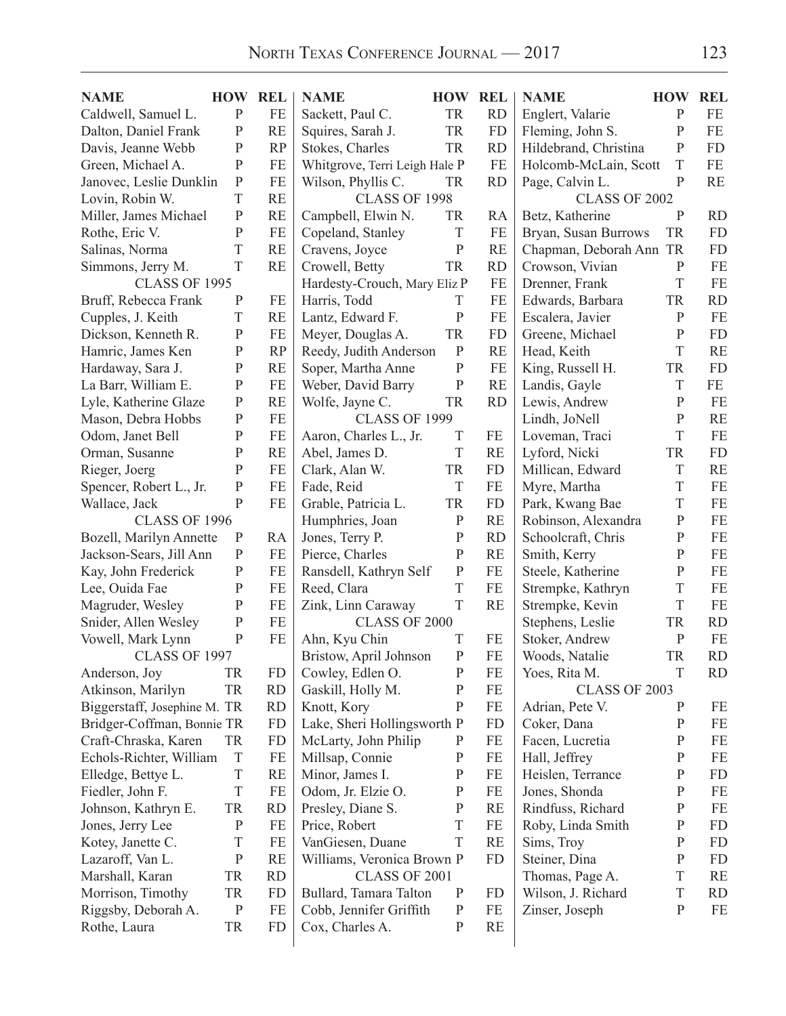| <b>NAME</b>                  | <b>HOW REL</b> |           | <b>NAME</b>                   | <b>HOW REL</b> |           | <b>NAME</b>             | <b>HOW</b>   | <b>REL</b> |
|------------------------------|----------------|-----------|-------------------------------|----------------|-----------|-------------------------|--------------|------------|
| Caldwell, Samuel L.          | $\mathbf{P}$   | FE        | Sackett, Paul C.              | TR             | <b>RD</b> | Englert, Valarie        | $\mathbf{P}$ | FE         |
| Dalton, Daniel Frank         | $\mathbf{P}$   | <b>RE</b> | Squires, Sarah J.             | <b>TR</b>      | <b>FD</b> | Fleming, John S.        | $\mathbf{P}$ | FE         |
| Davis, Jeanne Webb           | $\mathbf{P}$   | RP        | Stokes, Charles               | TR             | <b>RD</b> | Hildebrand, Christina   | $\mathbf{P}$ | <b>FD</b>  |
| Green, Michael A.            | $\mathbf{P}$   | FE        | Whitgrove, Terri Leigh Hale P |                | FE        | Holcomb-McLain, Scott   | T            | FE         |
| Janovec, Leslie Dunklin      | $\mathbf{P}$   | FE        | Wilson, Phyllis C.            | TR             | <b>RD</b> | Page, Calvin L.         | $\mathbf{P}$ | RE         |
| Lovin, Robin W.              | T              | RE        | CLASS OF 1998                 |                |           | CLASS OF 2002           |              |            |
| Miller, James Michael        | $\mathbf{P}$   | <b>RE</b> | Campbell, Elwin N.            | TR             | RA        | Betz, Katherine         | $\mathbf P$  | <b>RD</b>  |
| Rothe, Eric V.               | $\mathbf{P}$   | <b>FE</b> | Copeland, Stanley             | T              | FE        | Bryan, Susan Burrows    | <b>TR</b>    | <b>FD</b>  |
| Salinas, Norma               | T              | RE        | Cravens, Joyce                | $\mathbf{P}$   | <b>RE</b> | Chapman, Deborah Ann TR |              | <b>FD</b>  |
| Simmons, Jerry M.            | T              | RE        | Crowell, Betty                | TR             | RD        | Crowson, Vivian         | $\mathbf{P}$ | FE         |
| CLASS OF 1995                |                |           | Hardesty-Crouch, Mary Eliz P  |                | $FE$      | Drenner, Frank          | T            | FE         |
| Bruff, Rebecca Frank         | $\mathbf{P}$   | FE        | Harris, Todd                  | T              | FE        | Edwards, Barbara        | TR           | <b>RD</b>  |
| Cupples, J. Keith            | $\mathbf T$    | <b>RE</b> | Lantz, Edward F.              | $\, {\bf P}$   | FE        | Escalera, Javier        | $\mathbf{P}$ | FE         |
| Dickson, Kenneth R.          | $\mathbf{P}$   | FE        | Meyer, Douglas A.             | TR             | <b>FD</b> | Greene, Michael         | $\mathbf{P}$ | <b>FD</b>  |
| Hamric, James Ken            | $\mathbf{P}$   | <b>RP</b> | Reedy, Judith Anderson        | $\mathbf{P}$   | RE        | Head, Keith             | T            | <b>RE</b>  |
| Hardaway, Sara J.            | $\mathbf{P}$   | <b>RE</b> | Soper, Martha Anne            | $\mathbf{P}$   | FE        | King, Russell H.        | TR           | <b>FD</b>  |
| La Barr, William E.          | $\mathbf{P}$   | FE        | Weber, David Barry            | $\mathbf{P}$   | <b>RE</b> | Landis, Gayle           | T            | FE         |
| Lyle, Katherine Glaze        | $\mathbf{P}$   | <b>RE</b> | Wolfe, Jayne C.               | TR             | <b>RD</b> | Lewis, Andrew           | $\mathbf P$  | FE         |
| Mason, Debra Hobbs           | $\mathbf{P}$   | <b>FE</b> | <b>CLASS OF 1999</b>          |                |           | Lindh, JoNell           | $\mathbf P$  | <b>RE</b>  |
| Odom, Janet Bell             | $\mathbf{P}$   | <b>FE</b> | Aaron, Charles L., Jr.        | T              | FE        | Loveman, Traci          | T            | FE         |
| Orman, Susanne               | $\mathbf{P}$   | <b>RE</b> | Abel, James D.                | T              | <b>RE</b> | Lyford, Nicki           | <b>TR</b>    | <b>FD</b>  |
| Rieger, Joerg                | $\mathbf{P}$   | <b>FE</b> | Clark, Alan W.                | TR             | <b>FD</b> | Millican, Edward        | T            | <b>RE</b>  |
| Spencer, Robert L., Jr.      | $\mathbf{P}$   | FE        | Fade, Reid                    | T              | FE        | Myre, Martha            | T            | FE         |
| Wallace, Jack                | ${\bf P}$      | FE        | Grable, Patricia L.           | TR             | <b>FD</b> | Park, Kwang Bae         | T            | FE         |
| <b>CLASS OF 1996</b>         |                |           | Humphries, Joan               | $\mathbf{P}$   | <b>RE</b> | Robinson, Alexandra     | $\mathbf P$  | FE         |
| Bozell, Marilyn Annette      | $\mathbf{P}$   | RA        | Jones, Terry P.               | $\mathbf{P}$   | <b>RD</b> | Schoolcraft, Chris      | $\mathbf P$  | FE         |
| Jackson-Sears, Jill Ann      | $\mathbf{P}$   | FE        | Pierce, Charles               | $\mathbf{P}$   | <b>RE</b> | Smith, Kerry            | $\mathbf{P}$ | FE         |
| Kay, John Frederick          | $\mathbf{P}$   | FE        | Ransdell, Kathryn Self        | $\mathbf{P}$   | FE        | Steele, Katherine       | $\mathbf{P}$ | FE         |
| Lee, Ouida Fae               | $\mathbf{P}$   | FE        | Reed, Clara                   | T              | FE        | Strempke, Kathryn       | T            | FE         |
| Magruder, Wesley             | $\mathbf{P}$   | FE        | Zink, Linn Caraway            | $\mathbf T$    | <b>RE</b> | Strempke, Kevin         | T            | FE         |
| Snider, Allen Wesley         | $\mathbf{P}$   | $FE$      | CLASS OF 2000                 |                |           | Stephens, Leslie        | <b>TR</b>    | <b>RD</b>  |
| Vowell, Mark Lynn            | $\mathbf{P}$   | FE        | Ahn, Kyu Chin                 | T              | FE        | Stoker, Andrew          | $\mathbf{P}$ | FE         |
| CLASS OF 1997                |                |           | Bristow, April Johnson        | $\mathbf{P}$   | FE        | Woods, Natalie          | <b>TR</b>    | <b>RD</b>  |
| Anderson, Joy                | TR             | <b>FD</b> | Cowley, Edlen O.              | $\mathbf{P}$   | FE        | Yoes, Rita M.           | $\mathcal T$ | <b>RD</b>  |
| Atkinson, Marilyn            | TR             | <b>RD</b> | Gaskill, Holly M.             | P              | FE        | <b>CLASS OF 2003</b>    |              |            |
| Biggerstaff, Josephine M. TR |                | <b>RD</b> | Knott, Kory                   | P              | FE        | Adrian, Pete V.         | P            | FE         |
| Bridger-Coffman, Bonnie TR   |                | FD        | Lake, Sheri Hollingsworth P   |                | <b>FD</b> | Coker, Dana             | P            | FE         |
| Craft-Chraska, Karen         | TR             | <b>FD</b> | McLarty, John Philip          | $\mathbf P$    | FE        | Facen, Lucretia         | P            | FE         |
| Echols-Richter, William      | T              | FE        | Millsap, Connie               | $\mathbf P$    | FE        | Hall, Jeffrey           | $\mathbf{P}$ | FE         |
| Elledge, Bettye L.           | $\mathbf T$    | <b>RE</b> | Minor, James I.               | $\mathbf{P}$   | FE        | Heislen, Terrance       | $\mathbf{P}$ | <b>FD</b>  |
| Fiedler, John F.             | T              | FE        | Odom, Jr. Elzie O.            | $\mathbf{P}$   | FE        | Jones, Shonda           | $\mathbf{P}$ | FE         |
| Johnson, Kathryn E.          | <b>TR</b>      | <b>RD</b> | Presley, Diane S.             | $\mathbf{P}$   | <b>RE</b> | Rindfuss, Richard       | $\mathbf{P}$ | FE         |
| Jones, Jerry Lee             | $\mathbf{P}$   | FE        | Price, Robert                 | T              | $\rm FE$  | Roby, Linda Smith       | $\mathbf{P}$ | <b>FD</b>  |
| Kotey, Janette C.            | $\mathbf T$    | FE        | VanGiesen, Duane              | T              | RE        | Sims, Troy              | $\mathbf{P}$ | <b>FD</b>  |
| Lazaroff, Van L.             | $\mathbf{P}$   | <b>RE</b> | Williams, Veronica Brown P    |                | <b>FD</b> | Steiner, Dina           | $\mathbf{P}$ | <b>FD</b>  |
| Marshall, Karan              | <b>TR</b>      | <b>RD</b> | CLASS OF 2001                 |                |           | Thomas, Page A.         | T            | <b>RE</b>  |
| Morrison, Timothy            | TR             | FD        | Bullard, Tamara Talton        | $\mathbf{P}$   | <b>FD</b> | Wilson, J. Richard      | T            | <b>RD</b>  |
| Riggsby, Deborah A.          | $\mathbf{P}$   | FE        | Cobb, Jennifer Griffith       | $\mathbf{P}$   | FE        | Zinser, Joseph          | ${\bf P}$    | FE         |
| Rothe, Laura                 | TR             | <b>FD</b> | Cox, Charles A.               | ${\bf P}$      | <b>RE</b> |                         |              |            |
|                              |                |           |                               |                |           |                         |              |            |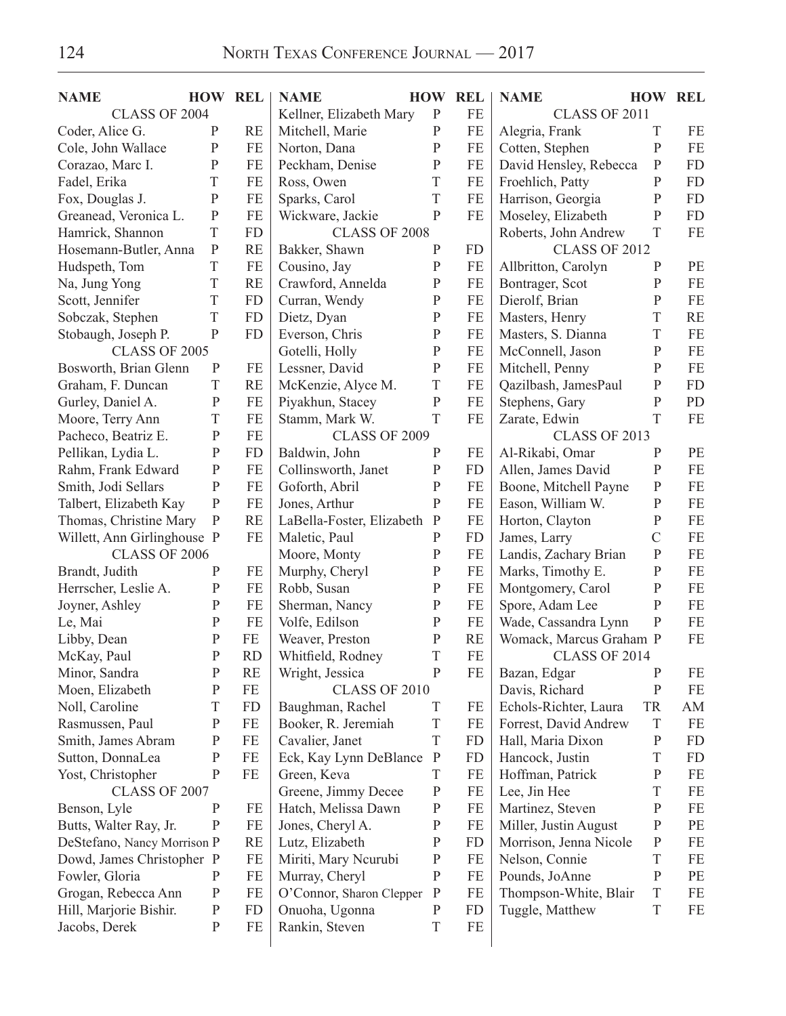| <b>NAME</b>                 |              | <b>HOW REL</b> | <b>NAME</b>               | <b>HOW</b>   | <b>REL</b> | <b>NAME</b>             |               | <b>HOW REL</b> |
|-----------------------------|--------------|----------------|---------------------------|--------------|------------|-------------------------|---------------|----------------|
| <b>CLASS OF 2004</b>        |              |                | Kellner, Elizabeth Mary   | $\mathbf{P}$ | FE         | CLASS OF 2011           |               |                |
| Coder, Alice G.             | $\mathbf{P}$ | <b>RE</b>      | Mitchell, Marie           | $\mathbf{P}$ | FE         | Alegria, Frank          | T             | FE             |
| Cole, John Wallace          | $\mathbf{P}$ | FE             | Norton, Dana              | $\mathbf{P}$ | FE         | Cotten, Stephen         | $\, {\bf P}$  | $FE$           |
| Corazao, Marc I.            | P            | FE             | Peckham, Denise           | $\mathbf{P}$ | FE         | David Hensley, Rebecca  | $\mathbf{P}$  | <b>FD</b>      |
| Fadel, Erika                | T            | FE             | Ross, Owen                | T            | FE         | Froehlich, Patty        | ${\bf P}$     | <b>FD</b>      |
| Fox, Douglas J.             | $\mathbf{P}$ | FE             | Sparks, Carol             | T            | FE         | Harrison, Georgia       | $\mathbf{P}$  | <b>FD</b>      |
| Greanead, Veronica L.       | $\mathbf P$  | FE             | Wickware, Jackie          | ${\bf P}$    | FE         | Moseley, Elizabeth      | $\mathbf{P}$  | <b>FD</b>      |
| Hamrick, Shannon            | T            | <b>FD</b>      | CLASS OF 2008             |              |            | Roberts, John Andrew    | T             | <b>FE</b>      |
| Hosemann-Butler, Anna       | $\, {\bf P}$ | <b>RE</b>      | Bakker, Shawn             | $\mathbf{P}$ | <b>FD</b>  | CLASS OF 2012           |               |                |
| Hudspeth, Tom               | T            | FE             | Cousino, Jay              | $\mathbf{P}$ | FE         | Allbritton, Carolyn     | P             | PE             |
| Na, Jung Yong               | T            | <b>RE</b>      | Crawford, Annelda         | $\mathbf{P}$ | FE         | Bontrager, Scot         | P             | $\rm FE$       |
| Scott, Jennifer             | T            | <b>FD</b>      | Curran, Wendy             | $\mathbf{P}$ | FE         | Dierolf, Brian          | $\mathbf{P}$  | FE             |
| Sobczak, Stephen            | T            | <b>FD</b>      | Dietz, Dyan               | $\mathbf{P}$ | FE         | Masters, Henry          | T             | <b>RE</b>      |
| Stobaugh, Joseph P.         | $\mathbf{P}$ | <b>FD</b>      | Everson, Chris            | $\mathbf{P}$ | FE         | Masters, S. Dianna      | T             | FE             |
| <b>CLASS OF 2005</b>        |              |                | Gotelli, Holly            | ${\bf P}$    | FE         | McConnell, Jason        | $\, {\bf P}$  | FE             |
| Bosworth, Brian Glenn       | ${\bf P}$    | FE             | Lessner, David            | $\mathbf{P}$ | FE         | Mitchell, Penny         | $\, {\bf P}$  | FE             |
| Graham, F. Duncan           | $\mathbf T$  | <b>RE</b>      | McKenzie, Alyce M.        | T            | FE         | Qazilbash, JamesPaul    | $\mathbf{P}$  | <b>FD</b>      |
| Gurley, Daniel A.           | $\mathbf{P}$ | FE             | Piyakhun, Stacey          | $\mathbf{P}$ | FE         | Stephens, Gary          | $\mathbf{P}$  | PD             |
| Moore, Terry Ann            | T            | FE             | Stamm, Mark W.            | T            | FE         | Zarate, Edwin           | T             | FE             |
| Pacheco, Beatriz E.         | ${\bf P}$    | <b>FE</b>      | <b>CLASS OF 2009</b>      |              |            | CLASS OF 2013           |               |                |
| Pellikan, Lydia L.          | $\mathbf{P}$ | <b>FD</b>      | Baldwin, John             | P            | FE         | Al-Rikabi, Omar         | P             | PE             |
| Rahm, Frank Edward          | $\mathbf{P}$ | FE             | Collinsworth, Janet       | $\mathbf{P}$ | FD         | Allen, James David      | $\mathbf{P}$  | FE             |
| Smith, Jodi Sellars         | ${\bf P}$    | FE             | Goforth, Abril            | $\mathbf{P}$ | FE         | Boone, Mitchell Payne   | $\mathbf{P}$  | FE             |
| Talbert, Elizabeth Kay      | ${\bf P}$    | FE             | Jones, Arthur             | ${\bf P}$    | FE         | Eason, William W.       | $\mathbf{P}$  | FE             |
| Thomas, Christine Mary      | $\mathbf{P}$ | <b>RE</b>      | LaBella-Foster, Elizabeth | $\mathbf{P}$ | FE         | Horton, Clayton         | $\mathbf{P}$  | FE             |
| Willett, Ann Girlinghouse P |              | FE             | Maletic, Paul             | $\mathbf{P}$ | <b>FD</b>  | James, Larry            | $\mathcal{C}$ | FE             |
| <b>CLASS OF 2006</b>        |              |                | Moore, Monty              | $\mathbf{P}$ | FE         | Landis, Zachary Brian   | $\mathbf{P}$  | FE             |
| Brandt, Judith              | $\mathbf{P}$ | FE             | Murphy, Cheryl            | $\mathbf{P}$ | FE         | Marks, Timothy E.       | $\mathbf{P}$  | FE             |
| Herrscher, Leslie A.        | ${\bf P}$    | FE             | Robb, Susan               | ${\bf P}$    | FE         | Montgomery, Carol       | $\mathbf{P}$  | <b>FE</b>      |
| Joyner, Ashley              | ${\bf P}$    | FE             | Sherman, Nancy            | ${\bf P}$    | FE         | Spore, Adam Lee         | ${\bf P}$     | FE             |
| Le, Mai                     | ${\bf P}$    | FE             | Volfe, Edilson            | $\mathbf{P}$ | FE         | Wade, Cassandra Lynn    | $\mathbf{P}$  | FE             |
| Libby, Dean                 | ${\bf P}$    | FE             | Weaver, Preston           | ${\bf P}$    | RE         | Womack, Marcus Graham P |               | FE             |
| McKay, Paul                 | ${\bf P}$    | <b>RD</b>      | Whitfield, Rodney         | T            | FE         | <b>CLASS OF 2014</b>    |               |                |
| Minor, Sandra               | ${\bf P}$    | <b>RE</b>      | Wright, Jessica           | ${\bf P}$    | FE         | Bazan, Edgar            | $\, {\bf P}$  | FE             |
| Moen, Elizabeth             | P            | FE             | <b>CLASS OF 2010</b>      |              |            | Davis, Richard          | $\mathbf{P}$  | FE             |
| Noll, Caroline              | Τ            | FD             | Baughman, Rachel          | T            | FE         | Echols-Richter, Laura   | TR            | AM             |
| Rasmussen, Paul             | ${\bf P}$    | FE             | Booker, R. Jeremiah       | T            | FE         | Forrest, David Andrew   | T             | FE             |
| Smith, James Abram          | ${\bf P}$    | $\rm FE$       | Cavalier, Janet           | $\mathbf T$  | <b>FD</b>  | Hall, Maria Dixon       | $\, {\bf P}$  | <b>FD</b>      |
| Sutton, DonnaLea            | ${\bf P}$    | FE             | Eck, Kay Lynn DeBlance    | $\mathbf{P}$ | <b>FD</b>  | Hancock, Justin         | T             | FD             |
| Yost, Christopher           | ${\bf P}$    | FE             | Green, Keva               | T            | FE         | Hoffman, Patrick        | $\mathbf{P}$  | FE             |
| CLASS OF 2007               |              |                | Greene, Jimmy Decee       | $\mathbf{P}$ | FE         | Lee, Jin Hee            | T             | FE             |
| Benson, Lyle                | ${\bf P}$    | FE             | Hatch, Melissa Dawn       | $\mathbf{P}$ | FE         | Martinez, Steven        | $\mathbf{P}$  | FE             |
| Butts, Walter Ray, Jr.      | $\mathbf P$  | FE             | Jones, Cheryl A.          | $\mathbf P$  | FE         | Miller, Justin August   | $\, {\bf P}$  | PE             |
| DeStefano, Nancy Morrison P |              | RE             | Lutz, Elizabeth           | $\mathbf{P}$ | <b>FD</b>  | Morrison, Jenna Nicole  | $\mathbf{P}$  | FE             |
| Dowd, James Christopher P   |              | FE             | Miriti, Mary Ncurubi      | $\mathbf{P}$ | FE         | Nelson, Connie          | T             | FE             |
| Fowler, Gloria              | P            | FE             | Murray, Cheryl            | ${\bf P}$    | FE         | Pounds, JoAnne          | $\mathbf{P}$  | PE             |
| Grogan, Rebecca Ann         | $\mathbf{P}$ | FE             | O'Connor, Sharon Clepper  | $\mathbf{P}$ | FE         | Thompson-White, Blair   | $\mathbf T$   | $FE$           |
| Hill, Marjorie Bishir.      | $\mathbf{P}$ | <b>FD</b>      | Onuoha, Ugonna            | $\mathbf{P}$ | <b>FD</b>  | Tuggle, Matthew         | $\mathbf T$   | $FE$           |
| Jacobs, Derek               | $\mathbf{P}$ | FE             | Rankin, Steven            | T            | FE         |                         |               |                |
|                             |              |                |                           |              |            |                         |               |                |